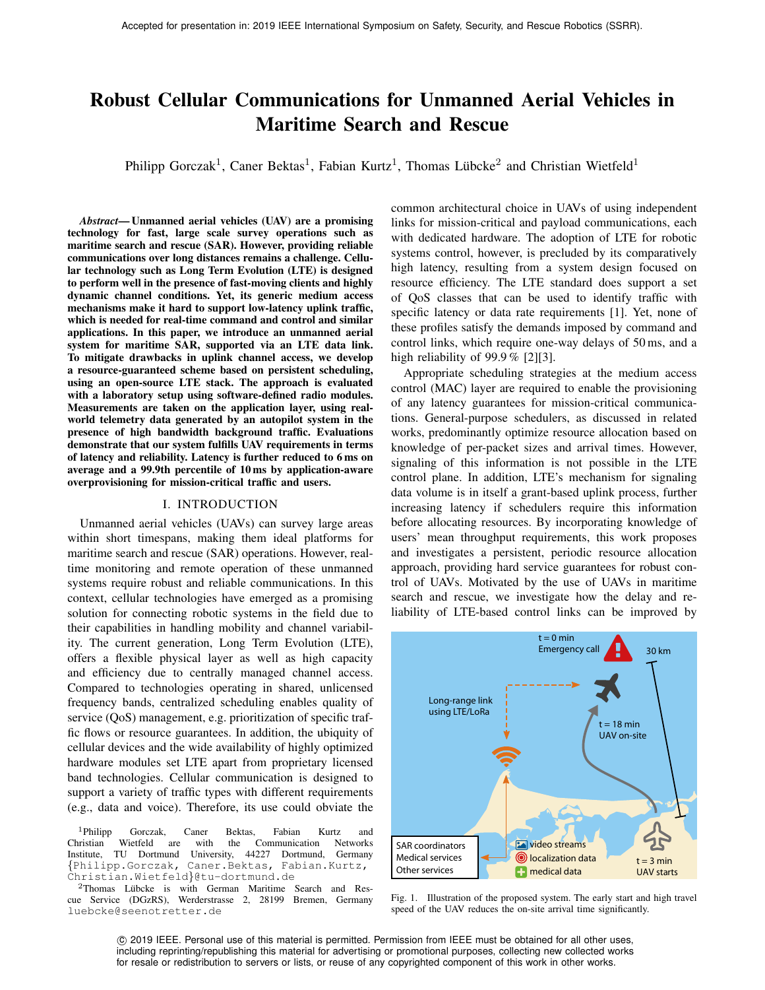# Robust Cellular Communications for Unmanned Aerial Vehicles in Maritime Search and Rescue

Philipp Gorczak<sup>1</sup>, Caner Bektas<sup>1</sup>, Fabian Kurtz<sup>1</sup>, Thomas Lübcke<sup>2</sup> and Christian Wietfeld<sup>1</sup>

*Abstract*— Unmanned aerial vehicles (UAV) are a promising technology for fast, large scale survey operations such as maritime search and rescue (SAR). However, providing reliable communications over long distances remains a challenge. Cellular technology such as Long Term Evolution (LTE) is designed to perform well in the presence of fast-moving clients and highly dynamic channel conditions. Yet, its generic medium access mechanisms make it hard to support low-latency uplink traffic, which is needed for real-time command and control and similar applications. In this paper, we introduce an unmanned aerial system for maritime SAR, supported via an LTE data link. To mitigate drawbacks in uplink channel access, we develop a resource-guaranteed scheme based on persistent scheduling, using an open-source LTE stack. The approach is evaluated with a laboratory setup using software-defined radio modules. Measurements are taken on the application layer, using realworld telemetry data generated by an autopilot system in the presence of high bandwidth background traffic. Evaluations demonstrate that our system fulfills UAV requirements in terms of latency and reliability. Latency is further reduced to 6 ms on average and a 99.9th percentile of 10 ms by application-aware overprovisioning for mission-critical traffic and users.

# I. INTRODUCTION

Unmanned aerial vehicles (UAVs) can survey large areas within short timespans, making them ideal platforms for maritime search and rescue (SAR) operations. However, realtime monitoring and remote operation of these unmanned systems require robust and reliable communications. In this context, cellular technologies have emerged as a promising solution for connecting robotic systems in the field due to their capabilities in handling mobility and channel variability. The current generation, Long Term Evolution (LTE), offers a flexible physical layer as well as high capacity and efficiency due to centrally managed channel access. Compared to technologies operating in shared, unlicensed frequency bands, centralized scheduling enables quality of service (QoS) management, e.g. prioritization of specific traffic flows or resource guarantees. In addition, the ubiquity of cellular devices and the wide availability of highly optimized hardware modules set LTE apart from proprietary licensed band technologies. Cellular communication is designed to support a variety of traffic types with different requirements (e.g., data and voice). Therefore, its use could obviate the

<sup>1</sup>Philipp Gorczak, Caner Bektas, Fabian Kurtz and Christian Wietfeld are with the Communication Networks Institute, TU Dortmund University, 44227 Dortmund, Germany {Philipp.Gorczak, Caner.Bektas, Fabian.Kurtz, Christian.Wietfeld}@tu-dortmund.de

 $2$ Thomas Lübcke is with German Maritime Search and Rescue Service (DGzRS), Werderstrasse 2, 28199 Bremen, Germany luebcke@seenotretter.de

common architectural choice in UAVs of using independent links for mission-critical and payload communications, each with dedicated hardware. The adoption of LTE for robotic systems control, however, is precluded by its comparatively high latency, resulting from a system design focused on resource efficiency. The LTE standard does support a set of QoS classes that can be used to identify traffic with specific latency or data rate requirements [1]. Yet, none of these profiles satisfy the demands imposed by command and control links, which require one-way delays of 50 ms, and a high reliability of 99.9 % [2][3].

Appropriate scheduling strategies at the medium access control (MAC) layer are required to enable the provisioning of any latency guarantees for mission-critical communications. General-purpose schedulers, as discussed in related works, predominantly optimize resource allocation based on knowledge of per-packet sizes and arrival times. However, signaling of this information is not possible in the LTE control plane. In addition, LTE's mechanism for signaling data volume is in itself a grant-based uplink process, further increasing latency if schedulers require this information before allocating resources. By incorporating knowledge of users' mean throughput requirements, this work proposes and investigates a persistent, periodic resource allocation approach, providing hard service guarantees for robust control of UAVs. Motivated by the use of UAVs in maritime search and rescue, we investigate how the delay and reliability of LTE-based control links can be improved by



Fig. 1. Illustration of the proposed system. The early start and high travel speed of the UAV reduces the on-site arrival time significantly.

 c 2019 IEEE. Personal use of this material is permitted. Permission from IEEE must be obtained for all other uses, including reprinting/republishing this material for advertising or promotional purposes, collecting new collected works for resale or redistribution to servers or lists, or reuse of any copyrighted component of this work in other works.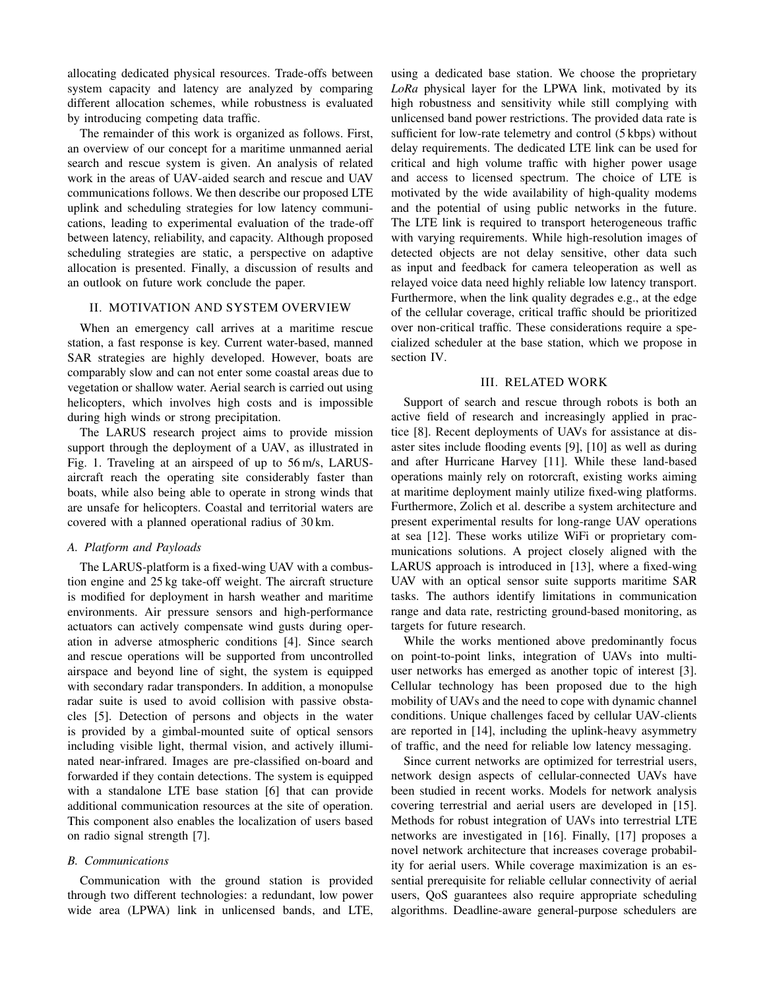allocating dedicated physical resources. Trade-offs between system capacity and latency are analyzed by comparing different allocation schemes, while robustness is evaluated by introducing competing data traffic.

The remainder of this work is organized as follows. First, an overview of our concept for a maritime unmanned aerial search and rescue system is given. An analysis of related work in the areas of UAV-aided search and rescue and UAV communications follows. We then describe our proposed LTE uplink and scheduling strategies for low latency communications, leading to experimental evaluation of the trade-off between latency, reliability, and capacity. Although proposed scheduling strategies are static, a perspective on adaptive allocation is presented. Finally, a discussion of results and an outlook on future work conclude the paper.

# II. MOTIVATION AND SYSTEM OVERVIEW

When an emergency call arrives at a maritime rescue station, a fast response is key. Current water-based, manned SAR strategies are highly developed. However, boats are comparably slow and can not enter some coastal areas due to vegetation or shallow water. Aerial search is carried out using helicopters, which involves high costs and is impossible during high winds or strong precipitation.

The LARUS research project aims to provide mission support through the deployment of a UAV, as illustrated in Fig. 1. Traveling at an airspeed of up to 56 m/s, LARUSaircraft reach the operating site considerably faster than boats, while also being able to operate in strong winds that are unsafe for helicopters. Coastal and territorial waters are covered with a planned operational radius of 30 km.

## *A. Platform and Payloads*

The LARUS-platform is a fixed-wing UAV with a combustion engine and 25 kg take-off weight. The aircraft structure is modified for deployment in harsh weather and maritime environments. Air pressure sensors and high-performance actuators can actively compensate wind gusts during operation in adverse atmospheric conditions [4]. Since search and rescue operations will be supported from uncontrolled airspace and beyond line of sight, the system is equipped with secondary radar transponders. In addition, a monopulse radar suite is used to avoid collision with passive obstacles [5]. Detection of persons and objects in the water is provided by a gimbal-mounted suite of optical sensors including visible light, thermal vision, and actively illuminated near-infrared. Images are pre-classified on-board and forwarded if they contain detections. The system is equipped with a standalone LTE base station [6] that can provide additional communication resources at the site of operation. This component also enables the localization of users based on radio signal strength [7].

# *B. Communications*

Communication with the ground station is provided through two different technologies: a redundant, low power wide area (LPWA) link in unlicensed bands, and LTE,

using a dedicated base station. We choose the proprietary *LoRa* physical layer for the LPWA link, motivated by its high robustness and sensitivity while still complying with unlicensed band power restrictions. The provided data rate is sufficient for low-rate telemetry and control (5 kbps) without delay requirements. The dedicated LTE link can be used for critical and high volume traffic with higher power usage and access to licensed spectrum. The choice of LTE is motivated by the wide availability of high-quality modems and the potential of using public networks in the future. The LTE link is required to transport heterogeneous traffic with varying requirements. While high-resolution images of detected objects are not delay sensitive, other data such as input and feedback for camera teleoperation as well as relayed voice data need highly reliable low latency transport. Furthermore, when the link quality degrades e.g., at the edge of the cellular coverage, critical traffic should be prioritized over non-critical traffic. These considerations require a specialized scheduler at the base station, which we propose in section IV.

## III. RELATED WORK

Support of search and rescue through robots is both an active field of research and increasingly applied in practice [8]. Recent deployments of UAVs for assistance at disaster sites include flooding events [9], [10] as well as during and after Hurricane Harvey [11]. While these land-based operations mainly rely on rotorcraft, existing works aiming at maritime deployment mainly utilize fixed-wing platforms. Furthermore, Zolich et al. describe a system architecture and present experimental results for long-range UAV operations at sea [12]. These works utilize WiFi or proprietary communications solutions. A project closely aligned with the LARUS approach is introduced in [13], where a fixed-wing UAV with an optical sensor suite supports maritime SAR tasks. The authors identify limitations in communication range and data rate, restricting ground-based monitoring, as targets for future research.

While the works mentioned above predominantly focus on point-to-point links, integration of UAVs into multiuser networks has emerged as another topic of interest [3]. Cellular technology has been proposed due to the high mobility of UAVs and the need to cope with dynamic channel conditions. Unique challenges faced by cellular UAV-clients are reported in [14], including the uplink-heavy asymmetry of traffic, and the need for reliable low latency messaging.

Since current networks are optimized for terrestrial users, network design aspects of cellular-connected UAVs have been studied in recent works. Models for network analysis covering terrestrial and aerial users are developed in [15]. Methods for robust integration of UAVs into terrestrial LTE networks are investigated in [16]. Finally, [17] proposes a novel network architecture that increases coverage probability for aerial users. While coverage maximization is an essential prerequisite for reliable cellular connectivity of aerial users, QoS guarantees also require appropriate scheduling algorithms. Deadline-aware general-purpose schedulers are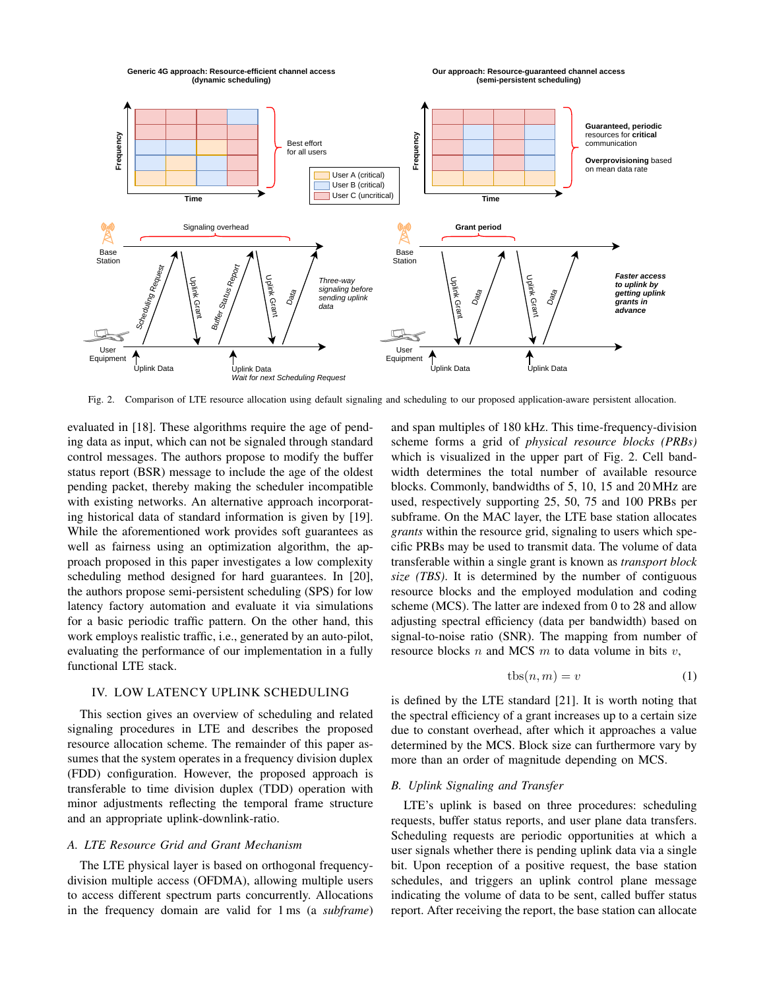

Fig. 2. Comparison of LTE resource allocation using default signaling and scheduling to our proposed application-aware persistent allocation.

evaluated in [18]. These algorithms require the age of pending data as input, which can not be signaled through standard control messages. The authors propose to modify the buffer status report (BSR) message to include the age of the oldest pending packet, thereby making the scheduler incompatible with existing networks. An alternative approach incorporating historical data of standard information is given by [19]. While the aforementioned work provides soft guarantees as well as fairness using an optimization algorithm, the approach proposed in this paper investigates a low complexity scheduling method designed for hard guarantees. In [20], the authors propose semi-persistent scheduling (SPS) for low latency factory automation and evaluate it via simulations for a basic periodic traffic pattern. On the other hand, this work employs realistic traffic, i.e., generated by an auto-pilot, evaluating the performance of our implementation in a fully functional LTE stack.

# IV. LOW LATENCY UPLINK SCHEDULING

This section gives an overview of scheduling and related signaling procedures in LTE and describes the proposed resource allocation scheme. The remainder of this paper assumes that the system operates in a frequency division duplex (FDD) configuration. However, the proposed approach is transferable to time division duplex (TDD) operation with minor adjustments reflecting the temporal frame structure and an appropriate uplink-downlink-ratio.

# *A. LTE Resource Grid and Grant Mechanism*

The LTE physical layer is based on orthogonal frequencydivision multiple access (OFDMA), allowing multiple users to access different spectrum parts concurrently. Allocations in the frequency domain are valid for 1 ms (a *subframe*)

and span multiples of 180 kHz. This time-frequency-division scheme forms a grid of *physical resource blocks (PRBs)* which is visualized in the upper part of Fig. 2. Cell bandwidth determines the total number of available resource blocks. Commonly, bandwidths of 5, 10, 15 and 20 MHz are used, respectively supporting 25, 50, 75 and 100 PRBs per subframe. On the MAC layer, the LTE base station allocates *grants* within the resource grid, signaling to users which specific PRBs may be used to transmit data. The volume of data transferable within a single grant is known as *transport block size (TBS)*. It is determined by the number of contiguous resource blocks and the employed modulation and coding scheme (MCS). The latter are indexed from 0 to 28 and allow adjusting spectral efficiency (data per bandwidth) based on signal-to-noise ratio (SNR). The mapping from number of resource blocks  $n$  and MCS  $m$  to data volume in bits  $v$ ,

$$
tbs(n,m) = v \tag{1}
$$

is defined by the LTE standard [21]. It is worth noting that the spectral efficiency of a grant increases up to a certain size due to constant overhead, after which it approaches a value determined by the MCS. Block size can furthermore vary by more than an order of magnitude depending on MCS.

# *B. Uplink Signaling and Transfer*

LTE's uplink is based on three procedures: scheduling requests, buffer status reports, and user plane data transfers. Scheduling requests are periodic opportunities at which a user signals whether there is pending uplink data via a single bit. Upon reception of a positive request, the base station schedules, and triggers an uplink control plane message indicating the volume of data to be sent, called buffer status report. After receiving the report, the base station can allocate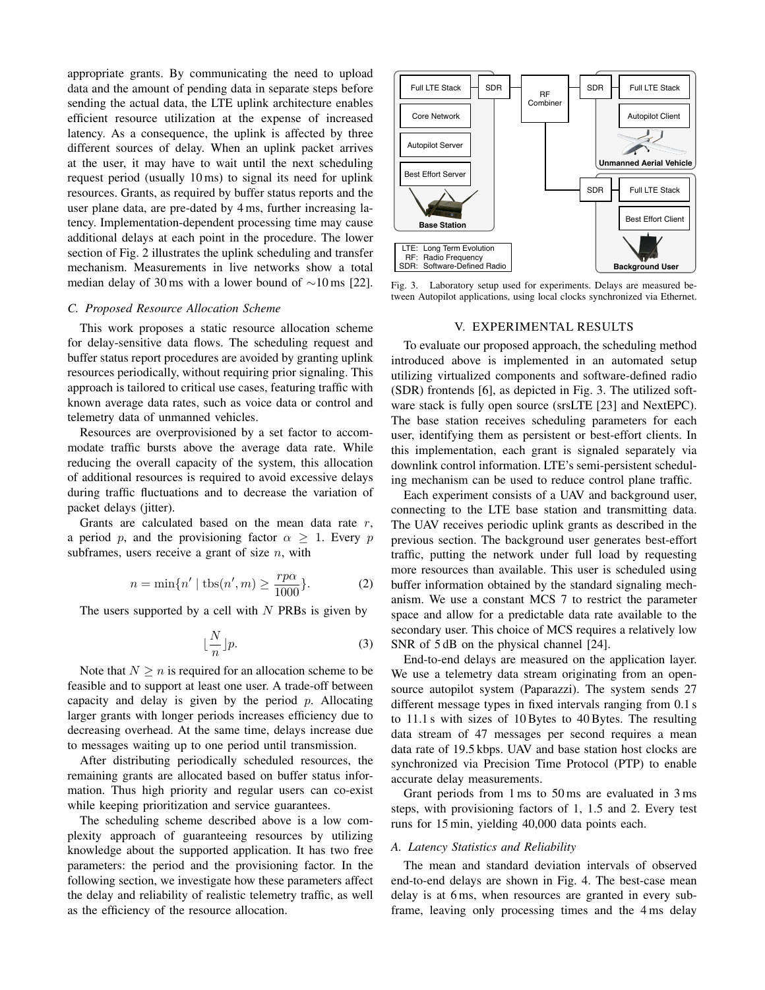appropriate grants. By communicating the need to upload data and the amount of pending data in separate steps before sending the actual data, the LTE uplink architecture enables efficient resource utilization at the expense of increased latency. As a consequence, the uplink is affected by three different sources of delay. When an uplink packet arrives at the user, it may have to wait until the next scheduling request period (usually 10 ms) to signal its need for uplink resources. Grants, as required by buffer status reports and the user plane data, are pre-dated by 4 ms, further increasing latency. Implementation-dependent processing time may cause additional delays at each point in the procedure. The lower section of Fig. 2 illustrates the uplink scheduling and transfer mechanism. Measurements in live networks show a total median delay of 30 ms with a lower bound of ∼10 ms [22].

## *C. Proposed Resource Allocation Scheme*

This work proposes a static resource allocation scheme for delay-sensitive data flows. The scheduling request and buffer status report procedures are avoided by granting uplink resources periodically, without requiring prior signaling. This approach is tailored to critical use cases, featuring traffic with known average data rates, such as voice data or control and telemetry data of unmanned vehicles.

Resources are overprovisioned by a set factor to accommodate traffic bursts above the average data rate. While reducing the overall capacity of the system, this allocation of additional resources is required to avoid excessive delays during traffic fluctuations and to decrease the variation of packet delays (jitter).

Grants are calculated based on the mean data rate  $r$ , a period p, and the provisioning factor  $\alpha > 1$ . Every p subframes, users receive a grant of size  $n$ , with

$$
n = \min\{n' \mid \text{tbs}(n', m) \ge \frac{rp\alpha}{1000}\}.
$$
 (2)

The users supported by a cell with  $N$  PRBs is given by

$$
\lfloor \frac{N}{n} \rfloor p. \tag{3}
$$

Note that  $N \geq n$  is required for an allocation scheme to be feasible and to support at least one user. A trade-off between capacity and delay is given by the period  $p$ . Allocating larger grants with longer periods increases efficiency due to decreasing overhead. At the same time, delays increase due to messages waiting up to one period until transmission.

After distributing periodically scheduled resources, the remaining grants are allocated based on buffer status information. Thus high priority and regular users can co-exist while keeping prioritization and service guarantees.

The scheduling scheme described above is a low complexity approach of guaranteeing resources by utilizing knowledge about the supported application. It has two free parameters: the period and the provisioning factor. In the following section, we investigate how these parameters affect the delay and reliability of realistic telemetry traffic, as well as the efficiency of the resource allocation.



Fig. 3. Laboratory setup used for experiments. Delays are measured between Autopilot applications, using local clocks synchronized via Ethernet.

## V. EXPERIMENTAL RESULTS

To evaluate our proposed approach, the scheduling method introduced above is implemented in an automated setup utilizing virtualized components and software-defined radio (SDR) frontends [6], as depicted in Fig. 3. The utilized software stack is fully open source (srsLTE [23] and NextEPC). The base station receives scheduling parameters for each user, identifying them as persistent or best-effort clients. In this implementation, each grant is signaled separately via downlink control information. LTE's semi-persistent scheduling mechanism can be used to reduce control plane traffic.

Each experiment consists of a UAV and background user, connecting to the LTE base station and transmitting data. The UAV receives periodic uplink grants as described in the previous section. The background user generates best-effort traffic, putting the network under full load by requesting more resources than available. This user is scheduled using buffer information obtained by the standard signaling mechanism. We use a constant MCS 7 to restrict the parameter space and allow for a predictable data rate available to the secondary user. This choice of MCS requires a relatively low SNR of 5 dB on the physical channel [24].

End-to-end delays are measured on the application layer. We use a telemetry data stream originating from an opensource autopilot system (Paparazzi). The system sends 27 different message types in fixed intervals ranging from 0.1 s to 11.1 s with sizes of 10 Bytes to 40 Bytes. The resulting data stream of 47 messages per second requires a mean data rate of 19.5 kbps. UAV and base station host clocks are synchronized via Precision Time Protocol (PTP) to enable accurate delay measurements.

Grant periods from 1 ms to 50 ms are evaluated in 3 ms steps, with provisioning factors of 1, 1.5 and 2. Every test runs for 15 min, yielding 40,000 data points each.

## *A. Latency Statistics and Reliability*

The mean and standard deviation intervals of observed end-to-end delays are shown in Fig. 4. The best-case mean delay is at 6 ms, when resources are granted in every subframe, leaving only processing times and the 4 ms delay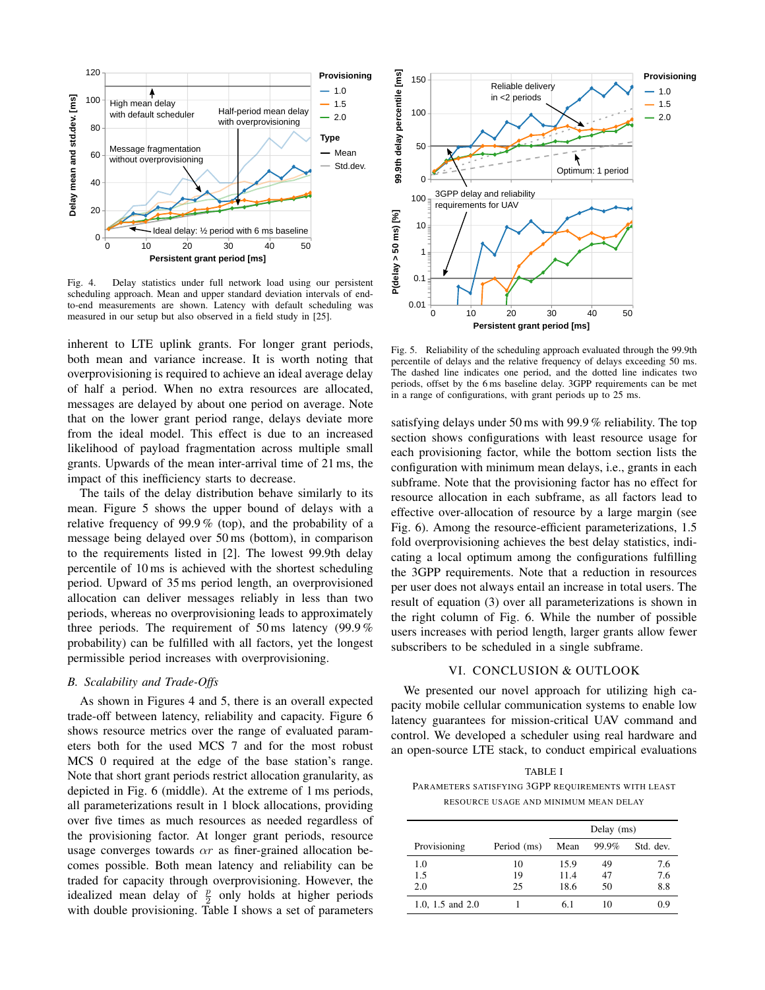

Fig. 4. Delay statistics under full network load using our persistent scheduling approach. Mean and upper standard deviation intervals of endto-end measurements are shown. Latency with default scheduling was measured in our setup but also observed in a field study in [25].

inherent to LTE uplink grants. For longer grant periods, both mean and variance increase. It is worth noting that overprovisioning is required to achieve an ideal average delay of half a period. When no extra resources are allocated, messages are delayed by about one period on average. Note that on the lower grant period range, delays deviate more from the ideal model. This effect is due to an increased likelihood of payload fragmentation across multiple small grants. Upwards of the mean inter-arrival time of 21 ms, the impact of this inefficiency starts to decrease.

The tails of the delay distribution behave similarly to its mean. Figure 5 shows the upper bound of delays with a relative frequency of 99.9 % (top), and the probability of a message being delayed over 50 ms (bottom), in comparison to the requirements listed in [2]. The lowest 99.9th delay percentile of 10 ms is achieved with the shortest scheduling period. Upward of 35 ms period length, an overprovisioned allocation can deliver messages reliably in less than two periods, whereas no overprovisioning leads to approximately three periods. The requirement of 50 ms latency (99.9 % probability) can be fulfilled with all factors, yet the longest permissible period increases with overprovisioning.

## *B. Scalability and Trade-Offs*

As shown in Figures 4 and 5, there is an overall expected trade-off between latency, reliability and capacity. Figure 6 shows resource metrics over the range of evaluated parameters both for the used MCS 7 and for the most robust MCS 0 required at the edge of the base station's range. Note that short grant periods restrict allocation granularity, as depicted in Fig. 6 (middle). At the extreme of 1 ms periods, all parameterizations result in 1 block allocations, providing over five times as much resources as needed regardless of the provisioning factor. At longer grant periods, resource usage converges towards  $\alpha r$  as finer-grained allocation becomes possible. Both mean latency and reliability can be traded for capacity through overprovisioning. However, the idealized mean delay of  $\frac{p}{2}$  only holds at higher periods with double provisioning. Table I shows a set of parameters



Fig. 5. Reliability of the scheduling approach evaluated through the 99.9th percentile of delays and the relative frequency of delays exceeding 50 ms. The dashed line indicates one period, and the dotted line indicates two periods, offset by the 6 ms baseline delay. 3GPP requirements can be met in a range of configurations, with grant periods up to 25 ms.

satisfying delays under 50 ms with 99.9 % reliability. The top section shows configurations with least resource usage for each provisioning factor, while the bottom section lists the configuration with minimum mean delays, i.e., grants in each subframe. Note that the provisioning factor has no effect for resource allocation in each subframe, as all factors lead to effective over-allocation of resource by a large margin (see Fig. 6). Among the resource-efficient parameterizations, 1.5 fold overprovisioning achieves the best delay statistics, indicating a local optimum among the configurations fulfilling the 3GPP requirements. Note that a reduction in resources per user does not always entail an increase in total users. The result of equation (3) over all parameterizations is shown in the right column of Fig. 6. While the number of possible users increases with period length, larger grants allow fewer subscribers to be scheduled in a single subframe.

## VI. CONCLUSION & OUTLOOK

We presented our novel approach for utilizing high capacity mobile cellular communication systems to enable low latency guarantees for mission-critical UAV command and control. We developed a scheduler using real hardware and an open-source LTE stack, to conduct empirical evaluations

TABLE I PARAMETERS SATISFYING 3GPP REQUIREMENTS WITH LEAST RESOURCE USAGE AND MINIMUM MEAN DELAY

|                    |             | Delay (ms) |       |           |
|--------------------|-------------|------------|-------|-----------|
| Provisioning       | Period (ms) | Mean       | 99.9% | Std. dev. |
| 1.0                | 10          | 15.9       | 49    | 7.6       |
| 1.5                | 19          | 11.4       | 47    | 7.6       |
| 2.0                | 25          | 18.6       | 50    | 8.8       |
| 1.0, 1.5 and $2.0$ |             | 6.1        | 10    | 0.9       |